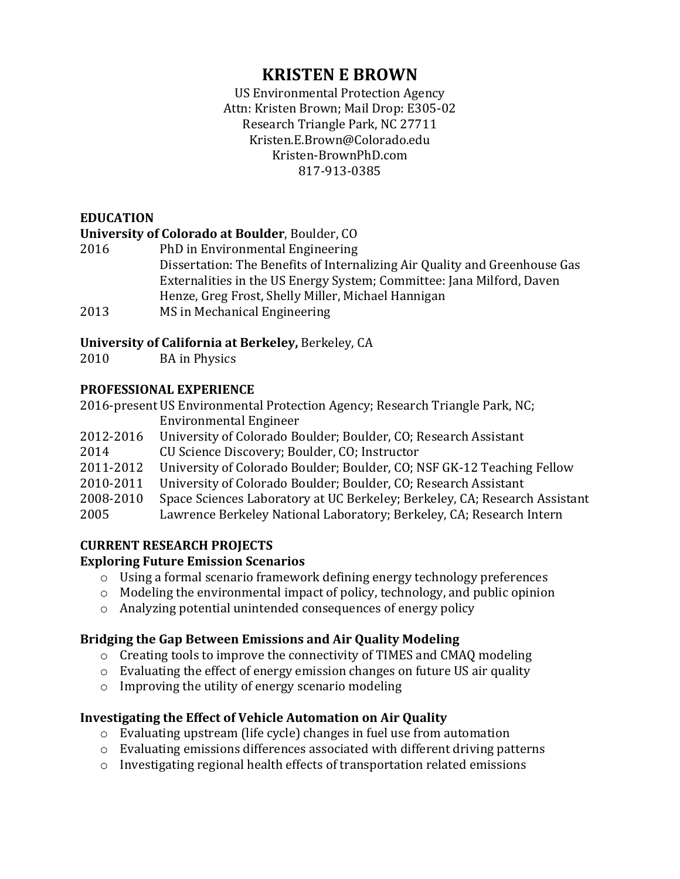# **KRISTEN E BROWN**

US Environmental Protection Agency Attn: Kristen Brown; Mail Drop: E305-02 Research Triangle Park, NC 27711 Kristen.E.Brown@Colorado.edu Kristen-BrownPhD.com 817-913-0385

# **EDUCATION**

### **University of Colorado at Boulder**, Boulder, CO

2016 PhD in Environmental Engineering Dissertation: The Benefits of Internalizing Air Quality and Greenhouse Gas Externalities in the US Energy System; Committee: Jana Milford, Daven Henze, Greg Frost, Shelly Miller, Michael Hannigan 2013 MS in Mechanical Engineering

# **University of California at Berkeley, Berkeley, CA**

2010 BA in Physics

# **PROFESSIONAL EXPERIENCE**

2016-present US Environmental Protection Agency; Research Triangle Park, NC; Environmental Engineer

- 2012-2016 University of Colorado Boulder; Boulder, CO; Research Assistant
- 2014 CU Science Discovery; Boulder, CO; Instructor
- 2011-2012 University of Colorado Boulder; Boulder, CO; NSF GK-12 Teaching Fellow
- 2010-2011 University of Colorado Boulder; Boulder, CO; Research Assistant
- 2008-2010 Space Sciences Laboratory at UC Berkeley; Berkeley, CA; Research Assistant
- 2005 Lawrence Berkeley National Laboratory; Berkeley, CA; Research Intern

# **CURRENT RESEARCH PROJECTS**

# **Exploring Future Emission Scenarios**

- $\circ$  Using a formal scenario framework defining energy technology preferences
- $\circ$  Modeling the environmental impact of policy, technology, and public opinion
- $\circ$  Analyzing potential unintended consequences of energy policy

# **Bridging the Gap Between Emissions and Air Quality Modeling**

- $\circ$  Creating tools to improve the connectivity of TIMES and CMAQ modeling
- $\circ$  Evaluating the effect of energy emission changes on future US air quality
- $\circ$  Improving the utility of energy scenario modeling

# **Investigating the Effect of Vehicle Automation on Air Quality**

- $\circ$  Evaluating upstream (life cycle) changes in fuel use from automation
- $\circ$  Evaluating emissions differences associated with different driving patterns
- $\circ$  Investigating regional health effects of transportation related emissions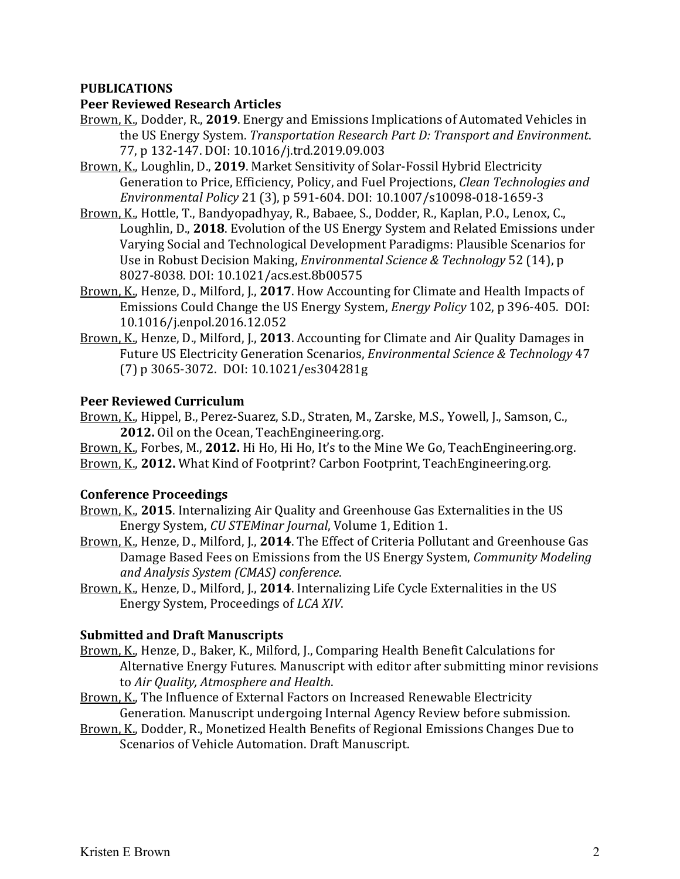### **PUBLICATIONS**

#### **Peer Reviewed Research Articles**

- Brown, K., Dodder, R., 2019. Energy and Emissions Implications of Automated Vehicles in the US Energy System. *Transportation Research Part D: Transport and Environment.* 77, p 132-147. DOI: 10.1016/j.trd.2019.09.003
- Brown, K., Loughlin, D., 2019. Market Sensitivity of Solar-Fossil Hybrid Electricity Generation to Price, Efficiency, Policy, and Fuel Projections, *Clean Technologies and Environmental Policy* 21 (3), p 591-604. DOI: 10.1007/s10098-018-1659-3
- Brown, K., Hottle, T., Bandyopadhyay, R., Babaee, S., Dodder, R., Kaplan, P.O., Lenox, C., Loughlin, D., 2018. Evolution of the US Energy System and Related Emissions under Varying Social and Technological Development Paradigms: Plausible Scenarios for Use in Robust Decision Making, *Environmental Science & Technology* 52 (14), p 8027-8038. DOI: 10.1021/acs.est.8b00575
- Brown, K., Henze, D., Milford, J., 2017. How Accounting for Climate and Health Impacts of Emissions Could Change the US Energy System, *Energy Policy* 102, p 396-405. DOI: 10.1016/j.enpol.2016.12.052
- Brown, K., Henze, D., Milford, J., 2013. Accounting for Climate and Air Quality Damages in Future US Electricity Generation Scenarios, *Environmental Science & Technology* 47 (7) p 3065-3072. DOI: 10.1021/es304281g

#### **Peer Reviewed Curriculum**

Brown, K., Hippel, B., Perez-Suarez, S.D., Straten, M., Zarske, M.S., Yowell, J., Samson, C., **2012.** Oil on the Ocean, TeachEngineering.org.

Brown, K., Forbes, M., 2012. Hi Ho, Hi Ho, It's to the Mine We Go, TeachEngineering.org. Brown, K., 2012. What Kind of Footprint? Carbon Footprint, TeachEngineering.org.

#### **Conference Proceedings**

- Brown, K., 2015. Internalizing Air Quality and Greenhouse Gas Externalities in the US Energy System, *CU STEMinar Journal*, Volume 1, Edition 1.
- Brown, K., Henze, D., Milford, J., 2014. The Effect of Criteria Pollutant and Greenhouse Gas Damage Based Fees on Emissions from the US Energy System, *Community Modeling and Analysis System (CMAS) conference*.
- Brown, K., Henze, D., Milford, J., 2014. Internalizing Life Cycle Externalities in the US Energy System, Proceedings of *LCA XIV*.

#### **Submitted and Draft Manuscripts**

- Brown, K., Henze, D., Baker, K., Milford, J., Comparing Health Benefit Calculations for Alternative Energy Futures. Manuscript with editor after submitting minor revisions to *Air Quality, Atmosphere and Health.*
- Brown, K., The Influence of External Factors on Increased Renewable Electricity Generation. Manuscript undergoing Internal Agency Review before submission.
- Brown, K., Dodder, R., Monetized Health Benefits of Regional Emissions Changes Due to Scenarios of Vehicle Automation. Draft Manuscript.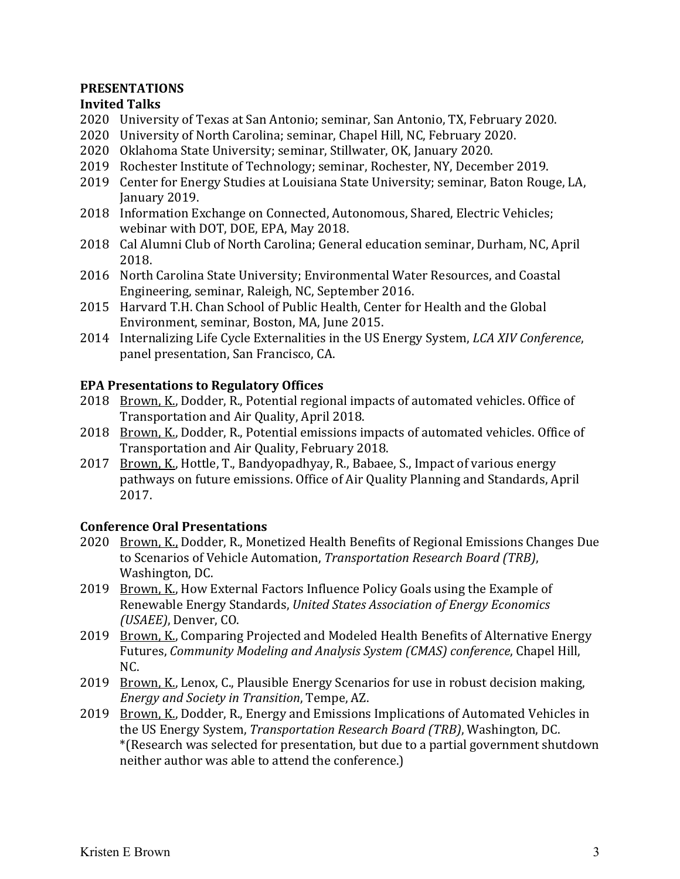### **PRESENTATIONS**

### **Invited Talks**

- 2020 University of Texas at San Antonio; seminar, San Antonio, TX, February 2020.
- 2020 University of North Carolina; seminar, Chapel Hill, NC, February 2020.
- 2020 Oklahoma State University; seminar, Stillwater, OK, January 2020.
- 2019 Rochester Institute of Technology; seminar, Rochester, NY, December 2019.
- 2019 Center for Energy Studies at Louisiana State University; seminar, Baton Rouge, LA, January 2019.
- 2018 Information Exchange on Connected, Autonomous, Shared, Electric Vehicles; webinar with DOT, DOE, EPA, May 2018.
- 2018 Cal Alumni Club of North Carolina; General education seminar, Durham, NC, April 2018.
- 2016 North Carolina State University; Environmental Water Resources, and Coastal Engineering, seminar, Raleigh, NC, September 2016.
- 2015 Harvard T.H. Chan School of Public Health, Center for Health and the Global Environment, seminar, Boston, MA, June 2015.
- 2014 Internalizing Life Cycle Externalities in the US Energy System, *LCA XIV Conference*, panel presentation, San Francisco, CA.

# **EPA Presentations to Regulatory Offices**

- 2018 Brown, K., Dodder, R., Potential regional impacts of automated vehicles. Office of Transportation and Air Quality, April 2018.
- 2018 Brown, K., Dodder, R., Potential emissions impacts of automated vehicles. Office of Transportation and Air Quality, February 2018.
- 2017 Brown, K., Hottle, T., Bandyopadhyay, R., Babaee, S., Impact of various energy pathways on future emissions. Office of Air Quality Planning and Standards, April 2017.

# **Conference Oral Presentations**

- 2020 Brown, K., Dodder, R., Monetized Health Benefits of Regional Emissions Changes Due to Scenarios of Vehicle Automation, *Transportation Research Board (TRB)*, Washington, DC.
- 2019 Brown, K., How External Factors Influence Policy Goals using the Example of Renewable Energy Standards, *United States Association of Energy Economics (USAEE)*, Denver, CO.
- 2019 Brown, K., Comparing Projected and Modeled Health Benefits of Alternative Energy Futures, *Community Modeling and Analysis System (CMAS) conference*, Chapel Hill, NC.
- 2019 Brown, K., Lenox, C., Plausible Energy Scenarios for use in robust decision making, *Energy and Society in Transition*, Tempe, AZ.
- 2019 Brown, K., Dodder, R., Energy and Emissions Implications of Automated Vehicles in the US Energy System, *Transportation Research Board (TRB)*, Washington, DC. \*(Research was selected for presentation, but due to a partial government shutdown neither author was able to attend the conference.)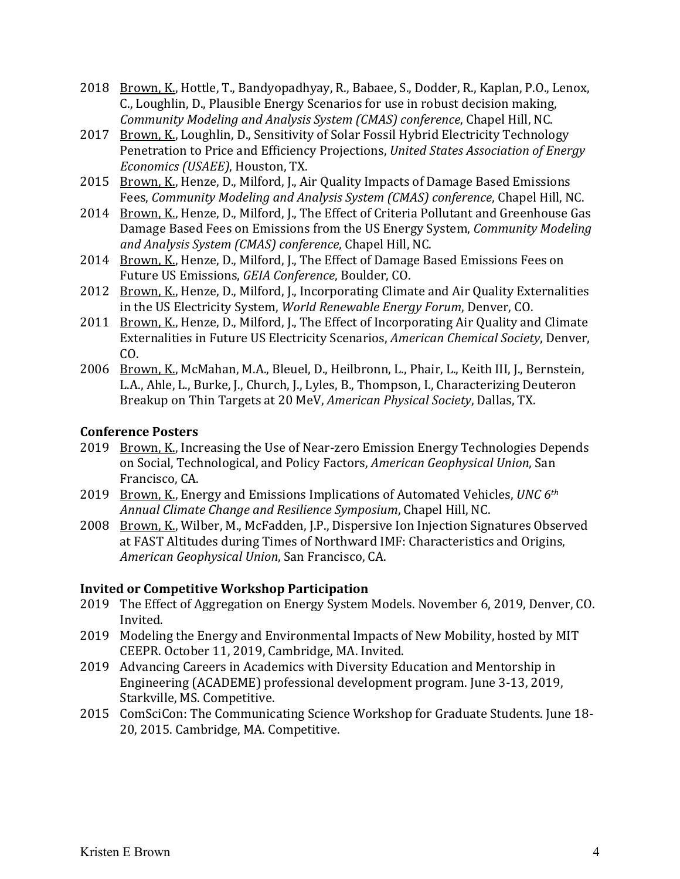- 2018 Brown, K., Hottle, T., Bandyopadhyay, R., Babaee, S., Dodder, R., Kaplan, P.O., Lenox, C., Loughlin, D., Plausible Energy Scenarios for use in robust decision making, *Community Modeling and Analysis System (CMAS) conference, Chapel Hill, NC.*
- 2017 Brown, K., Loughlin, D., Sensitivity of Solar Fossil Hybrid Electricity Technology Penetration to Price and Efficiency Projections, *United States Association of Energy Economics (USAEE)*, Houston, TX.
- 2015 Brown, K., Henze, D., Milford, J., Air Quality Impacts of Damage Based Emissions Fees, *Community Modeling and Analysis System (CMAS) conference*, Chapel Hill, NC.
- 2014 Brown, K., Henze, D., Milford, J., The Effect of Criteria Pollutant and Greenhouse Gas Damage Based Fees on Emissions from the US Energy System, *Community Modeling* and Analysis System (CMAS) conference, Chapel Hill, NC.
- 2014 Brown, K., Henze, D., Milford, J., The Effect of Damage Based Emissions Fees on Future US Emissions, *GEIA Conference*, Boulder, CO.
- 2012 Brown, K., Henze, D., Milford, J., Incorporating Climate and Air Quality Externalities in the US Electricity System, *World Renewable Energy Forum*, Denver, CO.
- 2011 Brown, K., Henze, D., Milford, J., The Effect of Incorporating Air Quality and Climate Externalities in Future US Electricity Scenarios, *American Chemical Society*, Denver, CO.
- 2006 Brown, K., McMahan, M.A., Bleuel, D., Heilbronn, L., Phair, L., Keith III, J., Bernstein, L.A., Ahle, L., Burke, J., Church, J., Lyles, B., Thompson, I., Characterizing Deuteron Breakup on Thin Targets at 20 MeV, *American Physical Society*, Dallas, TX.

### **Conference Posters**

- 2019 Brown, K., Increasing the Use of Near-zero Emission Energy Technologies Depends on Social, Technological, and Policy Factors, *American Geophysical Union*, San Francisco, CA.
- 2019 Brown, K., Energy and Emissions Implications of Automated Vehicles, *UNC* 6<sup>th</sup> *Annual Climate Change and Resilience Symposium*, Chapel Hill, NC.
- 2008 Brown, K., Wilber, M., McFadden, J.P., Dispersive Ion Injection Signatures Observed at FAST Altitudes during Times of Northward IMF: Characteristics and Origins, *American Geophysical Union*, San Francisco, CA.

# **Invited or Competitive Workshop Participation**

- 2019 The Effect of Aggregation on Energy System Models. November 6, 2019, Denver, CO. Invited.
- 2019 Modeling the Energy and Environmental Impacts of New Mobility, hosted by MIT CEEPR. October 11, 2019, Cambridge, MA. Invited.
- 2019 Advancing Careers in Academics with Diversity Education and Mentorship in Engineering (ACADEME) professional development program. June 3-13, 2019, Starkville, MS. Competitive.
- 2015 ComSciCon: The Communicating Science Workshop for Graduate Students. June 18-20, 2015. Cambridge, MA. Competitive.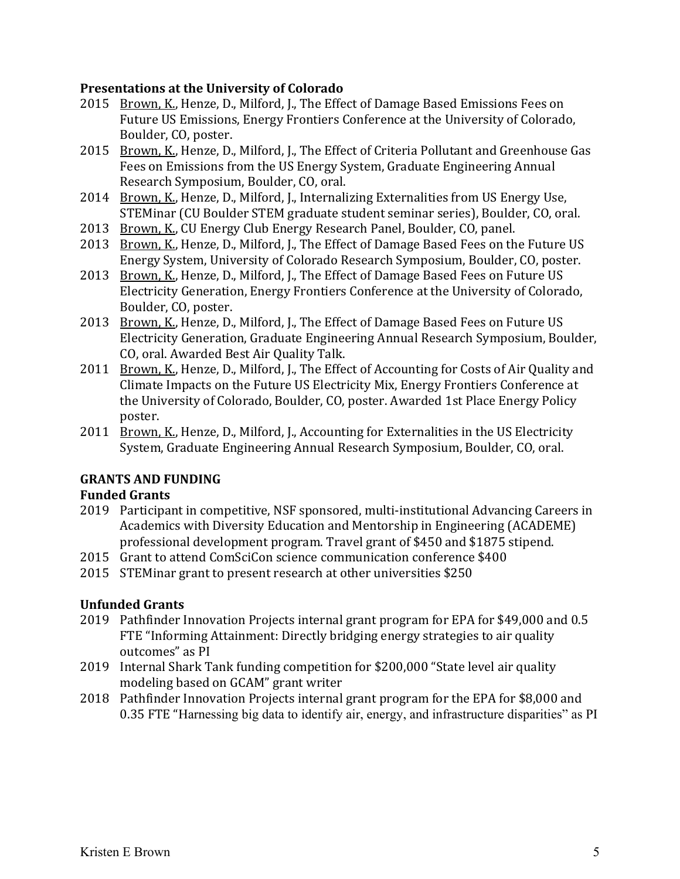#### **Presentations at the University of Colorado**

- 2015 Brown, K., Henze, D., Milford, J., The Effect of Damage Based Emissions Fees on Future US Emissions, Energy Frontiers Conference at the University of Colorado, Boulder, CO, poster.
- 2015 Brown, K., Henze, D., Milford, J., The Effect of Criteria Pollutant and Greenhouse Gas Fees on Emissions from the US Energy System, Graduate Engineering Annual Research Symposium, Boulder, CO, oral.
- 2014 Brown, K., Henze, D., Milford, J., Internalizing Externalities from US Energy Use, STEMinar (CU Boulder STEM graduate student seminar series), Boulder, CO, oral.
- 2013 Brown, K., CU Energy Club Energy Research Panel, Boulder, CO, panel.
- 2013 Brown, K., Henze, D., Milford, J., The Effect of Damage Based Fees on the Future US Energy System, University of Colorado Research Symposium, Boulder, CO, poster.
- 2013 Brown, K., Henze, D., Milford, J., The Effect of Damage Based Fees on Future US Electricity Generation, Energy Frontiers Conference at the University of Colorado, Boulder, CO, poster.
- 2013 Brown, K., Henze, D., Milford, J., The Effect of Damage Based Fees on Future US Electricity Generation, Graduate Engineering Annual Research Symposium, Boulder, CO, oral. Awarded Best Air Quality Talk.
- 2011 Brown, K., Henze, D., Milford, J., The Effect of Accounting for Costs of Air Quality and Climate Impacts on the Future US Electricity Mix, Energy Frontiers Conference at the University of Colorado, Boulder, CO, poster. Awarded 1st Place Energy Policy poster.
- 2011 Brown, K., Henze, D., Milford, J., Accounting for Externalities in the US Electricity System, Graduate Engineering Annual Research Symposium, Boulder, CO, oral.

# **GRANTS AND FUNDING**

# **Funded Grants**

- 2019 Participant in competitive, NSF sponsored, multi-institutional Advancing Careers in Academics with Diversity Education and Mentorship in Engineering (ACADEME) professional development program. Travel grant of \$450 and \$1875 stipend.
- 2015 Grant to attend ComSciCon science communication conference \$400
- 2015 STEMinar grant to present research at other universities \$250

# **Unfunded Grants**

- 2019 Pathfinder Innovation Projects internal grant program for EPA for \$49,000 and 0.5 FTE "Informing Attainment: Directly bridging energy strategies to air quality outcomes" as PI
- 2019 Internal Shark Tank funding competition for \$200,000 "State level air quality modeling based on GCAM" grant writer
- 2018 Pathfinder Innovation Projects internal grant program for the EPA for \$8,000 and 0.35 FTE "Harnessing big data to identify air, energy, and infrastructure disparities" as PI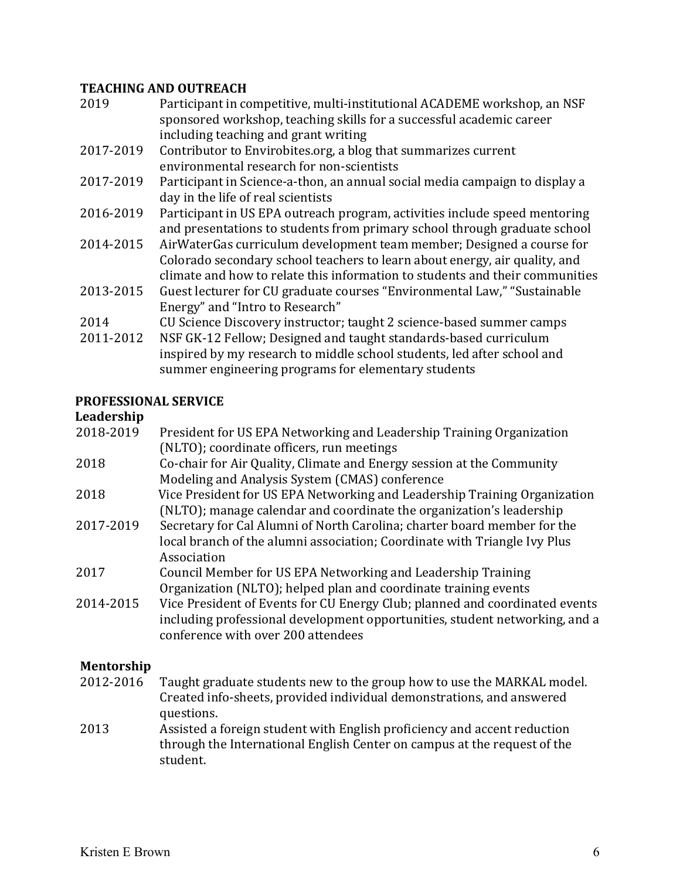#### **TEACHING AND OUTREACH**

| 2019      | Participant in competitive, multi-institutional ACADEME workshop, an NSF<br>sponsored workshop, teaching skills for a successful academic career |
|-----------|--------------------------------------------------------------------------------------------------------------------------------------------------|
|           | including teaching and grant writing                                                                                                             |
| 2017-2019 | Contributor to Envirobites.org, a blog that summarizes current                                                                                   |
|           | environmental research for non-scientists                                                                                                        |
| 2017-2019 | Participant in Science-a-thon, an annual social media campaign to display a                                                                      |
|           | day in the life of real scientists                                                                                                               |
| 2016-2019 | Participant in US EPA outreach program, activities include speed mentoring                                                                       |
|           | and presentations to students from primary school through graduate school                                                                        |
| 2014-2015 | AirWaterGas curriculum development team member; Designed a course for                                                                            |
|           | Colorado secondary school teachers to learn about energy, air quality, and                                                                       |
|           | climate and how to relate this information to students and their communities                                                                     |
| 2013-2015 | Guest lecturer for CU graduate courses "Environmental Law," "Sustainable"                                                                        |
|           | Energy" and "Intro to Research"                                                                                                                  |
| 2014      | CU Science Discovery instructor; taught 2 science-based summer camps                                                                             |
| 2011-2012 | NSF GK-12 Fellow; Designed and taught standards-based curriculum                                                                                 |
|           | inspired by my research to middle school students, led after school and                                                                          |

summer engineering programs for elementary students

### **PROFESSIONAL SERVICE**

### **Leadership**

| 2018-2019 | President for US EPA Networking and Leadership Training Organization        |
|-----------|-----------------------------------------------------------------------------|
|           | (NLTO); coordinate officers, run meetings                                   |
| 2018      | Co-chair for Air Quality, Climate and Energy session at the Community       |
|           | Modeling and Analysis System (CMAS) conference                              |
| 2018      | Vice President for US EPA Networking and Leadership Training Organization   |
|           | (NLTO); manage calendar and coordinate the organization's leadership        |
| 2017-2019 | Secretary for Cal Alumni of North Carolina; charter board member for the    |
|           | local branch of the alumni association; Coordinate with Triangle Ivy Plus   |
|           | Association                                                                 |
| 2017      | Council Member for US EPA Networking and Leadership Training                |
|           | Organization (NLTO); helped plan and coordinate training events             |
| 2014-2015 | Vice President of Events for CU Energy Club; planned and coordinated events |
|           | including professional development opportunities, student networking, and a |
|           | conference with over 200 attendees                                          |
|           |                                                                             |

# **Mentorship**

- 2012-2016 Taught graduate students new to the group how to use the MARKAL model. Created info-sheets, provided individual demonstrations, and answered questions.
- 2013 Assisted a foreign student with English proficiency and accent reduction through the International English Center on campus at the request of the student.